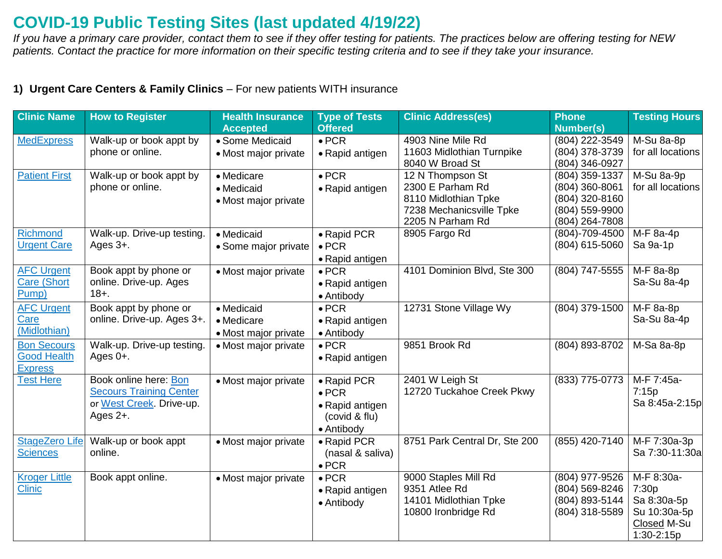## **COVID-19 Public Testing Sites (last updated 4/19/22)**

*If you have a primary care provider, contact them to see if they offer testing for patients. The practices below are offering testing for NEW patients. Contact the practice for more information on their specific testing criteria and to see if they take your insurance.* 

## **1) Urgent Care Centers & Family Clinics** – For new patients WITH insurance

| <b>Clinic Name</b>    | <b>How to Register</b>         | <b>Health Insurance</b> | <b>Type of Tests</b> | <b>Clinic Address(es)</b>     | <b>Phone</b>     | <b>Testing Hours</b> |
|-----------------------|--------------------------------|-------------------------|----------------------|-------------------------------|------------------|----------------------|
|                       |                                | <b>Accepted</b>         | <b>Offered</b>       |                               | <b>Number(s)</b> |                      |
| <b>MedExpress</b>     | Walk-up or book appt by        | • Some Medicaid         | $\bullet$ PCR        | 4903 Nine Mile Rd             | (804) 222-3549   | M-Su 8a-8p           |
|                       | phone or online.               | • Most major private    | • Rapid antigen      | 11603 Midlothian Turnpike     | (804) 378-3739   | for all locations    |
|                       |                                |                         |                      | 8040 W Broad St               | (804) 346-0927   |                      |
| <b>Patient First</b>  | Walk-up or book appt by        | • Medicare              | $\bullet$ PCR        | 12 N Thompson St              | (804) 359-1337   | M-Su 8a-9p           |
|                       | phone or online.               | • Medicaid              | • Rapid antigen      | 2300 E Parham Rd              | (804) 360-8061   | for all locations    |
|                       |                                | • Most major private    |                      | 8110 Midlothian Tpke          | (804) 320-8160   |                      |
|                       |                                |                         |                      | 7238 Mechanicsville Tpke      | (804) 559-9900   |                      |
|                       |                                |                         |                      | 2205 N Parham Rd              | (804) 264-7808   |                      |
| <b>Richmond</b>       | Walk-up. Drive-up testing.     | • Medicaid              | • Rapid PCR          | 8905 Fargo Rd                 | (804)-709-4500   | M-F 8a-4p            |
| <b>Urgent Care</b>    | Ages 3+.                       | • Some major private    | $\bullet$ PCR        |                               | (804) 615-5060   | Sa 9a-1p             |
|                       |                                |                         | • Rapid antigen      |                               |                  |                      |
| <b>AFC Urgent</b>     | Book appt by phone or          | • Most major private    | $\bullet$ PCR        | 4101 Dominion Blvd, Ste 300   | (804) 747-5555   | M-F 8a-8p            |
| <b>Care (Short</b>    | online. Drive-up. Ages         |                         | • Rapid antigen      |                               |                  | Sa-Su 8a-4p          |
| Pump)                 | $18 + .$                       |                         | • Antibody           |                               |                  |                      |
| <b>AFC Urgent</b>     | Book appt by phone or          | • Medicaid              | $\bullet$ PCR        | 12731 Stone Village Wy        | (804) 379-1500   | M-F 8a-8p            |
| Care                  | online. Drive-up. Ages 3+.     | • Medicare              | • Rapid antigen      |                               |                  | Sa-Su 8a-4p          |
| (Midlothian)          |                                | • Most major private    | • Antibody           |                               |                  |                      |
| <b>Bon Secours</b>    | Walk-up. Drive-up testing.     | • Most major private    | $\bullet$ PCR        | 9851 Brook Rd                 | (804) 893-8702   | M-Sa 8a-8p           |
| <b>Good Health</b>    | Ages 0+.                       |                         | • Rapid antigen      |                               |                  |                      |
| <b>Express</b>        |                                |                         |                      |                               |                  |                      |
| <b>Test Here</b>      | Book online here: Bon          | • Most major private    | • Rapid PCR          | 2401 W Leigh St               | (833) 775-0773   | M-F 7:45a-           |
|                       | <b>Secours Training Center</b> |                         | $\bullet$ PCR        | 12720 Tuckahoe Creek Pkwy     |                  | 7:15p                |
|                       | or West Creek. Drive-up.       |                         | • Rapid antigen      |                               |                  | Sa 8:45a-2:15p       |
|                       | Ages 2+.                       |                         | (covid & flu)        |                               |                  |                      |
|                       |                                |                         | • Antibody           |                               |                  |                      |
| <b>StageZero Life</b> | Walk-up or book appt           | • Most major private    | • Rapid PCR          | 8751 Park Central Dr, Ste 200 | (855) 420-7140   | M-F 7:30a-3p         |
| <b>Sciences</b>       | online.                        |                         | (nasal & saliva)     |                               |                  | Sa 7:30-11:30al      |
|                       |                                |                         | $\bullet$ PCR        |                               |                  |                      |
| <b>Kroger Little</b>  | Book appt online.              | • Most major private    | $\bullet$ PCR        | 9000 Staples Mill Rd          | (804) 977-9526   | M-F 8:30a-           |
| <b>Clinic</b>         |                                |                         | • Rapid antigen      | 9351 Atlee Rd                 | (804) 569-8246   | 7:30p                |
|                       |                                |                         | • Antibody           | 14101 Midlothian Tpke         | (804) 893-5144   | Sa 8:30a-5p          |
|                       |                                |                         |                      | 10800 Ironbridge Rd           | (804) 318-5589   | Su 10:30a-5p         |
|                       |                                |                         |                      |                               |                  | Closed M-Su          |
|                       |                                |                         |                      |                               |                  | 1:30-2:15p           |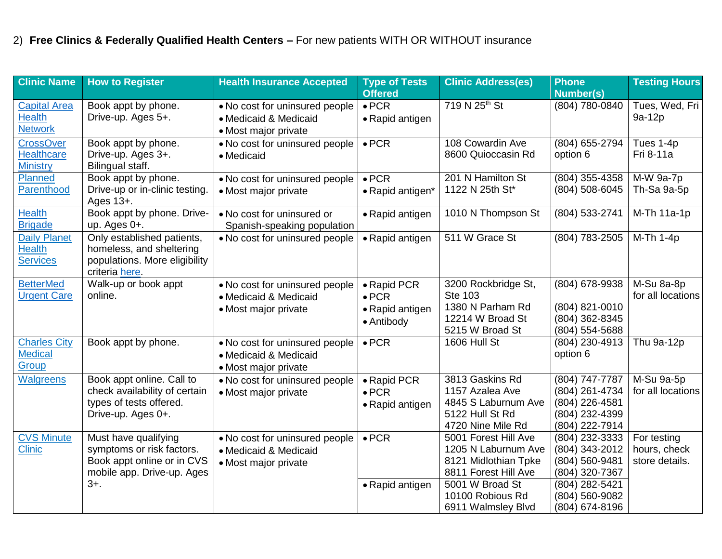## 2) **Free Clinics & Federally Qualified Health Centers –** For new patients WITH OR WITHOUT insurance

| <b>Clinic Name</b>  | <b>How to Register</b>         | <b>Health Insurance Accepted</b> | <b>Type of Tests</b> | <b>Clinic Address(es)</b> | <b>Phone</b>     | <b>Testing Hours</b> |
|---------------------|--------------------------------|----------------------------------|----------------------|---------------------------|------------------|----------------------|
|                     |                                |                                  | <b>Offered</b>       |                           | <b>Number(s)</b> |                      |
| <b>Capital Area</b> | Book appt by phone.            | . No cost for uninsured people   | $\bullet$ PCR        | 719 N 25 <sup>th</sup> St | (804) 780-0840   | Tues, Wed, Fri       |
| <b>Health</b>       | Drive-up. Ages 5+.             | • Medicaid & Medicaid            | • Rapid antigen      |                           |                  | 9a-12p               |
| <b>Network</b>      |                                | • Most major private             |                      |                           |                  |                      |
| <b>CrossOver</b>    | Book appt by phone.            | • No cost for uninsured people   | $\bullet$ PCR        | 108 Cowardin Ave          | (804) 655-2794   | Tues 1-4p            |
| <b>Healthcare</b>   | Drive-up. Ages 3+.             | • Medicaid                       |                      | 8600 Quioccasin Rd        | option 6         | Fri 8-11a            |
| <b>Ministry</b>     | Bilingual staff.               |                                  |                      |                           |                  |                      |
| Planned             | Book appt by phone.            | • No cost for uninsured people   | $\bullet$ PCR        | 201 N Hamilton St         | (804) 355-4358   | M-W 9a-7p            |
| Parenthood          | Drive-up or in-clinic testing. | • Most major private             | • Rapid antigen*     | 1122 N 25th St*           | (804) 508-6045   | Th-Sa 9a-5p          |
|                     | Ages 13+.                      |                                  |                      |                           |                  |                      |
| <b>Health</b>       | Book appt by phone. Drive-     | • No cost for uninsured or       | • Rapid antigen      | 1010 N Thompson St        | (804) 533-2741   | M-Th 11a-1p          |
| <b>Brigade</b>      | up. Ages 0+.                   | Spanish-speaking population      |                      |                           |                  |                      |
| <b>Daily Planet</b> | Only established patients,     | • No cost for uninsured people   | • Rapid antigen      | 511 W Grace St            | (804) 783-2505   | M-Th 1-4p            |
| <b>Health</b>       | homeless, and sheltering       |                                  |                      |                           |                  |                      |
| <b>Services</b>     | populations. More eligibility  |                                  |                      |                           |                  |                      |
|                     | criteria here.                 |                                  |                      |                           |                  |                      |
| <b>BetterMed</b>    | Walk-up or book appt           | • No cost for uninsured people   | • Rapid PCR          | 3200 Rockbridge St,       | (804) 678-9938   | M-Su 8a-8p           |
| <b>Urgent Care</b>  | online.                        | • Medicaid & Medicaid            | $\bullet$ PCR        | <b>Ste 103</b>            |                  | for all locations    |
|                     |                                | • Most major private             | • Rapid antigen      | 1380 N Parham Rd          | (804) 821-0010   |                      |
|                     |                                |                                  | • Antibody           | 12214 W Broad St          | (804) 362-8345   |                      |
|                     |                                |                                  |                      | 5215 W Broad St           | (804) 554-5688   |                      |
| <b>Charles City</b> | Book appt by phone.            | • No cost for uninsured people   | $\bullet$ PCR        | 1606 Hull St              | (804) 230-4913   | Thu 9a-12p           |
| <b>Medical</b>      |                                | • Medicaid & Medicaid            |                      |                           | option 6         |                      |
| Group               |                                | • Most major private             |                      |                           |                  |                      |
| <b>Walgreens</b>    | Book appt online. Call to      | . No cost for uninsured people   | • Rapid PCR          | 3813 Gaskins Rd           | (804) 747-7787   | M-Su 9a-5p           |
|                     | check availability of certain  | • Most major private             | $\bullet$ PCR        | 1157 Azalea Ave           | (804) 261-4734   | for all locations    |
|                     | types of tests offered.        |                                  | • Rapid antigen      | 4845 S Laburnum Ave       | (804) 226-4581   |                      |
|                     | Drive-up. Ages 0+.             |                                  |                      | 5122 Hull St Rd           | (804) 232-4399   |                      |
|                     |                                |                                  |                      | 4720 Nine Mile Rd         | (804) 222-7914   |                      |
| <b>CVS Minute</b>   | Must have qualifying           | • No cost for uninsured people   | $\bullet$ PCR        | 5001 Forest Hill Ave      | (804) 232-3333   | For testing          |
| <b>Clinic</b>       | symptoms or risk factors.      | • Medicaid & Medicaid            |                      | 1205 N Laburnum Ave       | (804) 343-2012   | hours, check         |
|                     | Book appt online or in CVS     | • Most major private             |                      | 8121 Midlothian Tpke      | (804) 560-9481   | store details.       |
|                     | mobile app. Drive-up. Ages     |                                  |                      | 8811 Forest Hill Ave      | (804) 320-7367   |                      |
|                     | $3+$ .                         |                                  | • Rapid antigen      | 5001 W Broad St           | (804) 282-5421   |                      |
|                     |                                |                                  |                      | 10100 Robious Rd          | (804) 560-9082   |                      |
|                     |                                |                                  |                      | 6911 Walmsley Blvd        | (804) 674-8196   |                      |